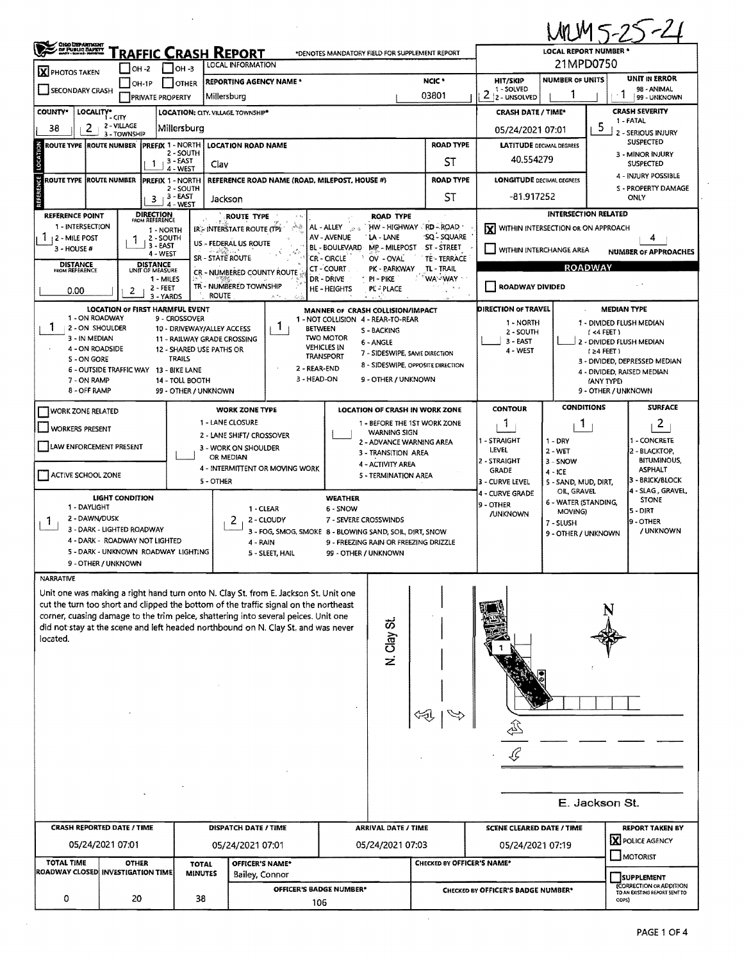|                                                                                                   |                                                   |                                                         |                                                                                                                                                                         |                                                                          |                                                                    |                                                                                                       |                                                                 |                                     | MM5-25-21                                         |  |  |  |
|---------------------------------------------------------------------------------------------------|---------------------------------------------------|---------------------------------------------------------|-------------------------------------------------------------------------------------------------------------------------------------------------------------------------|--------------------------------------------------------------------------|--------------------------------------------------------------------|-------------------------------------------------------------------------------------------------------|-----------------------------------------------------------------|-------------------------------------|---------------------------------------------------|--|--|--|
| <b>CHOO DEPARTMENT</b><br>DE PUBLIC DAPETY                                                        |                                                   | <u>RAFFIC CRASH REPORT</u>                              |                                                                                                                                                                         | <b>LOCAL REPORT NUMBER *</b><br>21MPD0750                                |                                                                    |                                                                                                       |                                                                 |                                     |                                                   |  |  |  |
| X PHOTOS TAKEN                                                                                    | $IOH -2$                                          | LOCAL INFORMATION<br>$OH - 3$                           |                                                                                                                                                                         | UNIT IN ERROR<br><b>NUMBER OF UNITS</b>                                  |                                                                    |                                                                                                       |                                                                 |                                     |                                                   |  |  |  |
| SECONDARY CRASH                                                                                   | $IOH-1P$<br><b>PRIVATE PROPERTY</b>               | <b>OTHER</b>                                            | <b>REPORTING AGENCY NAME *</b><br>Millersburg                                                                                                                           |                                                                          |                                                                    | NCIC <sup>+</sup><br>03801                                                                            | <b>HIT/SKIP</b><br>1 - SOLVED<br>$\overline{2}$<br>2 - UNSOLVED |                                     | 98 - ANIMAL<br>1<br>99 - UNKNOWN                  |  |  |  |
| <b>COUNTY*</b>                                                                                    | LOCALITY* CITY                                    | <b>LOCATION: CITY. VILLAGE TOWNSHIP*</b>                | <b>CRASH SEVERITY</b><br><b>CRASH DATE / TIME*</b>                                                                                                                      |                                                                          |                                                                    |                                                                                                       |                                                                 |                                     |                                                   |  |  |  |
| 2<br>38                                                                                           | 2 - VILLAGE<br>3 - TOWNSHIP                       | Millersburg                                             | 1 - FATAL<br>5<br>05/24/2021 07:01<br>2 - SERIOUS INJURY                                                                                                                |                                                                          |                                                                    |                                                                                                       |                                                                 |                                     |                                                   |  |  |  |
| ROUTE TYPE  ROUTE NUMBER                                                                          |                                                   | <b>PREFIX 1 - NORTH</b>                                 | <b>LOCATION ROAD NAME</b>                                                                                                                                               |                                                                          |                                                                    | <b>LATITUDE DECIMAL DEGREES</b>                                                                       |                                                                 | SUSPECTED                           |                                                   |  |  |  |
| LOCATION                                                                                          | $\mathbf{1}$                                      | 2 - SOUTH<br>3 - EAST<br>Clav<br>4 - WEST               |                                                                                                                                                                         |                                                                          |                                                                    | <b>ST</b>                                                                                             | 40.554279                                                       |                                     | 3 - MINOR INJURY<br><b>SUSPECTED</b>              |  |  |  |
| REFERENCE<br>ROUTE TYPE ROUTE NUMBER                                                              |                                                   | PREFIX 1 - NORTH<br>2 - SOUTH                           | <b>REFERENCE ROAD NAME (ROAD, MILEPOST, HOUSE #)</b>                                                                                                                    |                                                                          |                                                                    | <b>ROAD TYPE</b><br><b>ST</b>                                                                         | <b>LONGITUDE DECIMAL DEGREES</b><br>-81.917252                  |                                     | 4 - INJURY POSSIBLE<br>S - PROPERTY DAMAGE        |  |  |  |
|                                                                                                   |                                                   | $3 + 3 - EAST$<br>4 - WEST                              | Jackson<br>ROUTE TYPE                                                                                                                                                   |                                                                          | <b>ROAD TYPE</b>                                                   |                                                                                                       |                                                                 |                                     | ONLY                                              |  |  |  |
| REFERENCE POINT<br>1 - INTERSECTION                                                               | <b>DIRECTION</b><br>FROM REFERENCE                | IR-INTERSTATE ROUTE (TP):                               | HW - HIGHWAY RD - ROAD                                                                                                                                                  | <b>INTERSECTION RELATED</b><br>WITHIN INTERSECTION OR ON APPROACH<br>ΙXΙ |                                                                    |                                                                                                       |                                                                 |                                     |                                                   |  |  |  |
| 1 12 - MILE POST                                                                                  | 1 - NORTH<br>2 - SOUTH<br>3 - EAST                | US - FEDERAL US ROUTE                                   |                                                                                                                                                                         |                                                                          |                                                                    |                                                                                                       |                                                                 |                                     |                                                   |  |  |  |
| 3 - HOUSE #                                                                                       | 4 - WEST                                          | <b>SR - STATE ROUTE</b>                                 | ST-STREET<br>TE - TERRACE                                                                                                                                               | WITHIN INTERCHANGE AREA<br><b>NUMBER OF APPROACHES</b>                   |                                                                    |                                                                                                       |                                                                 |                                     |                                                   |  |  |  |
| <b>DISTANCE</b><br><b>FROM REFERENCE</b>                                                          | <b>DISTANCE</b><br>UNIT OF MEASURE<br>1 - MILES   |                                                         | CR - NUMBERED COUNTY ROUTE                                                                                                                                              | CT - COURT<br>DR - DRIVE                                                 | PK - PARKWAY<br>PI - PIKE                                          | TL - TRAIL<br><b>WA-WAY</b>                                                                           | <b>ROADWAY</b>                                                  |                                     |                                                   |  |  |  |
| 0.00                                                                                              | 2 - FEET<br>2<br>3 - YARDS                        | <b>ROUTE</b>                                            | TR - NUMBERED TOWNSHIP                                                                                                                                                  | <b>HE-HEIGHTS</b>                                                        | PL - PLACE<br>1.131                                                |                                                                                                       | <b>ROADWAY DIVIDED</b>                                          |                                     |                                                   |  |  |  |
| 1 - ON ROADWAY                                                                                    | <b>LOCATION OF FIRST HARMFUL EVENT</b>            |                                                         |                                                                                                                                                                         | MANNER OF CRASH COLLISION/IMPACT                                         |                                                                    |                                                                                                       | DIRECTION OF TRAVEL                                             |                                     | <b>MEDIAN TYPE</b>                                |  |  |  |
| 1<br>2 - ON SHOULDER                                                                              |                                                   | 9 - CROSSOVER<br>10 - DRIVEWAY/ALLEY ACCESS             | 1<br><b>BETWEEN</b>                                                                                                                                                     | 1 - NOT COLLISION 4 - REAR-TO-REAR                                       | S - BACKING                                                        |                                                                                                       | 1 - NORTH<br>2 - SOUTH                                          |                                     | 1 - DIVIDED FLUSH MEDIAN<br>(4 FEET)              |  |  |  |
| 3 - IN MEDIAN<br>4 - ON ROADSIDE                                                                  |                                                   | 11 - RAILWAY GRADE CROSSING<br>12 - SHARED USE PATHS OR |                                                                                                                                                                         | <b>TWO MOTOR</b><br><b>VEHICLES IN</b>                                   | 6 - ANGLE                                                          |                                                                                                       | $3 - EAST$<br>4 - WEST                                          |                                     | 2 - DIVIDED FLUSH MEDIAN                          |  |  |  |
| 5 - ON GORE                                                                                       |                                                   | <b>TRAILS</b>                                           | 2 - REAR-END                                                                                                                                                            | <b>TRANSPORT</b>                                                         | 7 - SIDESWIPE, SAME DIRECTION<br>8 - SIDESWIPE, OPPOSITE DIRECTION |                                                                                                       |                                                                 |                                     | <b>(24 FEET)</b><br>3 - DIVIDED, DEPRESSED MEDIAN |  |  |  |
| 7 - ON RAMP                                                                                       | 6 - OUTSIDE TRAFFIC WAY                           | 13 - BIKE LANE<br>14 - TOLL BOOTH                       |                                                                                                                                                                         |                                                                          | 4 - DIVIDED, RAISED MEDIAN<br>(ANY TYPE)                           |                                                                                                       |                                                                 |                                     |                                                   |  |  |  |
| 3 - HEAD-ON<br>9 - OTHER / UNKNOWN<br>8 - OFF RAMP<br>9 - OTHER / UNKNOWN<br>99 - OTHER / UNKNOWN |                                                   |                                                         |                                                                                                                                                                         |                                                                          |                                                                    |                                                                                                       |                                                                 |                                     |                                                   |  |  |  |
| <b>I WORK ZONE RELATED</b>                                                                        |                                                   |                                                         | <b>WORK ZONE TYPE</b>                                                                                                                                                   |                                                                          | <b>LOCATION OF CRASH IN WORK ZONE</b>                              |                                                                                                       | <b>CONTOUR</b>                                                  | <b>CONDITIONS</b>                   | <b>SURFACE</b>                                    |  |  |  |
| WORKERS PRESENT                                                                                   |                                                   |                                                         | 1 - LANE CLOSURE                                                                                                                                                        |                                                                          | 1 - BEFORE THE 1ST WORK ZONE                                       |                                                                                                       | Т.                                                              | <b>T</b>                            | $\overline{2}$                                    |  |  |  |
| LAW ENFORCEMENT PRESENT                                                                           |                                                   |                                                         | 2 - LANE SHIFT/ CROSSOVER<br>3 - WORK ON SHOULDER                                                                                                                       |                                                                          | <b>WARNING SIGN</b><br>2 - ADVANCE WARNING AREA                    |                                                                                                       | 1 - STRAIGHT                                                    | $1 - DRY$                           | - CONCRETE                                        |  |  |  |
|                                                                                                   |                                                   |                                                         | OR MEDIAN                                                                                                                                                               |                                                                          | 3 - TRANSITION AREA<br>4 - ACTIVITY AREA                           |                                                                                                       | LEVEL<br>2 - STRAIGHT                                           | $2 - WET$<br>3 - SNOW               | 2 - BLACKTOP,<br><b>BITUMINOUS,</b>               |  |  |  |
| ACTIVE SCHOOL ZONE                                                                                |                                                   |                                                         | 4 - INTERMITTENT OR MOVING WORK                                                                                                                                         |                                                                          | 5 - TERMINATION AREA                                               |                                                                                                       | <b>GRADE</b>                                                    | $4 - ICE$                           | ASPHALT<br>3 - BRICK/BLOCK                        |  |  |  |
|                                                                                                   | LIGHT CONDITION                                   | 5 - OTHER                                               |                                                                                                                                                                         | <b>WEATHER</b>                                                           |                                                                    |                                                                                                       | 3 - CURVE LEVEL<br>4 - CURVE GRADE                              | 5 - SAND, MUD, DIRT,<br>OIL, GRAVEL | 4 - SLAG, GRAVEL                                  |  |  |  |
| 1 - DAYLIGHT                                                                                      |                                                   |                                                         | 1 - CLEAR                                                                                                                                                               | 6 - SNOW                                                                 |                                                                    |                                                                                                       | 9 - OTHER<br><b>/UNKNOWN</b>                                    | 6 - WATER (STANDING,<br>MOVING)     | <b>STONE</b><br>5 - DIRT                          |  |  |  |
| 2 - DAWN/DUSK<br>1.                                                                               | 3 - DARK - LIGHTED ROADWAY                        |                                                         | 2 - CLOUDY<br>2                                                                                                                                                         | 7 - SEVERE CROSSWINDS                                                    |                                                                    |                                                                                                       |                                                                 | 7 - SLUSH                           | l9 - OTHER<br>/ UNKNOWN                           |  |  |  |
|                                                                                                   | 4 - DARK - ROADWAY NOT LIGHTED                    |                                                         | 3 - FOG, SMOG, SMOKE 8 - BLOWING SAND, SOIL, DIRT, SNOW<br>4 - RAIN                                                                                                     |                                                                          | 9 - FREEZING RAIN OR FREEZING DRIZZLE                              |                                                                                                       |                                                                 | 9 - OTHER / UNKNOWN                 |                                                   |  |  |  |
|                                                                                                   | 5 - DARK - UNKNOWN ROADWAY LIGHTING               |                                                         | 5 - SLEET, HAIL                                                                                                                                                         | 99 - OTHER / UNKNOWN                                                     |                                                                    |                                                                                                       |                                                                 |                                     |                                                   |  |  |  |
| NARRATIVE                                                                                         | 9 - OTHER / UNKNOWN                               |                                                         |                                                                                                                                                                         |                                                                          |                                                                    |                                                                                                       |                                                                 |                                     |                                                   |  |  |  |
|                                                                                                   |                                                   |                                                         | Unit one was making a right hand turn onto N. Clay St. from E. Jackson St. Unit one                                                                                     |                                                                          |                                                                    |                                                                                                       |                                                                 |                                     |                                                   |  |  |  |
|                                                                                                   |                                                   |                                                         | cut the turn too short and clipped the bottom of the traffic signal on the northeast                                                                                    |                                                                          |                                                                    |                                                                                                       |                                                                 |                                     |                                                   |  |  |  |
|                                                                                                   |                                                   |                                                         | corner, cuasing damage to the trim peice, shattering into several peices. Unit one<br>did not stay at the scene and left headed northbound on N. Clay St. and was never |                                                                          |                                                                    |                                                                                                       |                                                                 |                                     |                                                   |  |  |  |
| located.                                                                                          |                                                   |                                                         |                                                                                                                                                                         |                                                                          | N. Clay St                                                         |                                                                                                       |                                                                 |                                     |                                                   |  |  |  |
|                                                                                                   |                                                   |                                                         |                                                                                                                                                                         |                                                                          |                                                                    |                                                                                                       |                                                                 |                                     |                                                   |  |  |  |
|                                                                                                   |                                                   |                                                         |                                                                                                                                                                         |                                                                          |                                                                    |                                                                                                       |                                                                 |                                     |                                                   |  |  |  |
|                                                                                                   |                                                   |                                                         |                                                                                                                                                                         |                                                                          |                                                                    |                                                                                                       |                                                                 |                                     |                                                   |  |  |  |
|                                                                                                   |                                                   |                                                         |                                                                                                                                                                         |                                                                          |                                                                    |                                                                                                       |                                                                 |                                     |                                                   |  |  |  |
|                                                                                                   |                                                   |                                                         |                                                                                                                                                                         |                                                                          |                                                                    |                                                                                                       |                                                                 |                                     |                                                   |  |  |  |
|                                                                                                   |                                                   |                                                         |                                                                                                                                                                         |                                                                          |                                                                    |                                                                                                       |                                                                 |                                     |                                                   |  |  |  |
|                                                                                                   |                                                   |                                                         |                                                                                                                                                                         |                                                                          |                                                                    |                                                                                                       |                                                                 |                                     |                                                   |  |  |  |
|                                                                                                   |                                                   |                                                         |                                                                                                                                                                         |                                                                          |                                                                    |                                                                                                       |                                                                 |                                     |                                                   |  |  |  |
|                                                                                                   |                                                   |                                                         |                                                                                                                                                                         |                                                                          |                                                                    |                                                                                                       |                                                                 |                                     | E. Jackson St.                                    |  |  |  |
|                                                                                                   | <b>CRASH REPORTED DATE / TIME</b>                 |                                                         | <b>DISPATCH DATE / TIME</b>                                                                                                                                             |                                                                          | <b>ARRIVAL DATE / TIME</b>                                         |                                                                                                       | <b>SCENE CLEARED DATE / TIME</b>                                |                                     | <b>REPORT TAKEN BY</b>                            |  |  |  |
|                                                                                                   | 05/24/2021 07:01                                  |                                                         | 05/24/2021 07:01                                                                                                                                                        |                                                                          | 05/24/2021 07:03                                                   |                                                                                                       | X POLICE AGENCY<br>05/24/2021 07:19                             |                                     |                                                   |  |  |  |
| <b>TOTAL TIME</b>                                                                                 | <b>OTHER</b><br>ROADWAY CLOSED INVESTIGATION TIME | <b>TOTAL</b><br><b>MINUTES</b>                          | OFFICER'S NAME*<br>Bailey, Connor                                                                                                                                       |                                                                          |                                                                    | CHECKED BY OFFICER'S NAME*                                                                            |                                                                 |                                     | MOTORIST<br><b>SUPPLEMENT</b>                     |  |  |  |
|                                                                                                   |                                                   |                                                         | <b>OFFICER'S BADGE NUMBER*</b>                                                                                                                                          |                                                                          |                                                                    | <b>(CORRECTION OR ADDITION</b><br>CHECKED BY OFFICER'S BADGE NUMBER*<br>TO AN EXISTING REPORT SENT TO |                                                                 |                                     |                                                   |  |  |  |
| 0                                                                                                 | 20                                                | 38                                                      |                                                                                                                                                                         | ODPS)<br>106                                                             |                                                                    |                                                                                                       |                                                                 |                                     |                                                   |  |  |  |

 $\mathcal{A}$ 

 $\mathcal{L}_{\mathcal{A}}$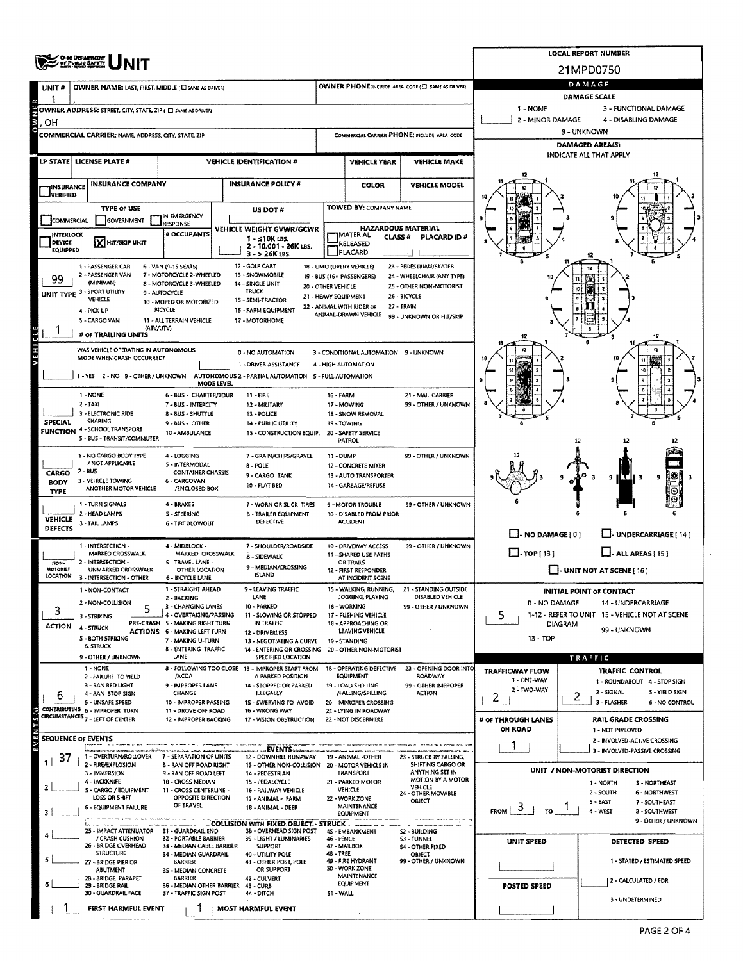|                                                                                                                  | OHO DEPARTMENT<br>OF PUBLIO BAPETY<br>DATE: BEGI (DEFECT                                                              |                                                                               | <b>LOCAL REPORT NUMBER</b> |                                                                       |                                                              |                                                           |                                                                  |                                                                  |                                                                 |  |  |  |  |  |
|------------------------------------------------------------------------------------------------------------------|-----------------------------------------------------------------------------------------------------------------------|-------------------------------------------------------------------------------|----------------------------|-----------------------------------------------------------------------|--------------------------------------------------------------|-----------------------------------------------------------|------------------------------------------------------------------|------------------------------------------------------------------|-----------------------------------------------------------------|--|--|--|--|--|
|                                                                                                                  |                                                                                                                       |                                                                               |                            |                                                                       |                                                              | 21MPD0750                                                 |                                                                  |                                                                  |                                                                 |  |  |  |  |  |
| UNIT#                                                                                                            | OWNER NAME: LAST, FIRST, MIDDLE (C) SAME AS DRIVER)                                                                   |                                                                               |                            |                                                                       | OWNER PHONE:INCLUDE AREA CODE (E) SAME AS DRIVERY            |                                                           | DAMAGE<br>DAMAGE SCALE                                           |                                                                  |                                                                 |  |  |  |  |  |
|                                                                                                                  | OWNER ADDRESS: STREET, CITY, STATE, ZIP ( D SAME AS DRIVER)                                                           |                                                                               |                            | 1 - NONE                                                              | 3 - FUNCTIONAL DAMAGE                                        |                                                           |                                                                  |                                                                  |                                                                 |  |  |  |  |  |
| OН                                                                                                               |                                                                                                                       |                                                                               | 2 - MINOR DAMAGE           | 4 - DISABLING DAMAGE                                                  |                                                              |                                                           |                                                                  |                                                                  |                                                                 |  |  |  |  |  |
|                                                                                                                  | <b>COMMERCIAL CARRIER: NAME, ADDRESS, CITY, STATE, ZIP</b>                                                            |                                                                               |                            |                                                                       |                                                              |                                                           | COMMERCIAL CARRIER PHONE: INCLUDE AREA CODE                      |                                                                  | 9 - UNKNOWN<br>DAMAGED AREA(S)                                  |  |  |  |  |  |
|                                                                                                                  | LP STATE   LICENSE PLATE #                                                                                            |                                                                               |                            | <b>VEHICLE IDENTIFICATION #</b>                                       |                                                              | <b>VEHICLE YEAR</b>                                       | <b>VEHICLE MAKE</b>                                              |                                                                  | INDICATE ALL THAT APPLY                                         |  |  |  |  |  |
|                                                                                                                  |                                                                                                                       |                                                                               |                            |                                                                       |                                                              |                                                           |                                                                  |                                                                  |                                                                 |  |  |  |  |  |
| <b>INSURANCE</b><br>JVERIFIED                                                                                    | <b>INSURANCE COMPANY</b>                                                                                              |                                                                               |                            | <b>INSURANCE POLICY #</b>                                             |                                                              | <b>COLOR</b>                                              | <b>VEHICLE MODEL</b>                                             |                                                                  |                                                                 |  |  |  |  |  |
|                                                                                                                  | <b>TYPE OF USE</b>                                                                                                    |                                                                               |                            | US DOT #                                                              |                                                              | <b>TOWED BY: COMPANY NAME</b>                             |                                                                  |                                                                  |                                                                 |  |  |  |  |  |
| COMMERCIAL                                                                                                       | <b>GOVERNMENT</b>                                                                                                     | IN EMERGENCY<br><b>RESPONSE</b>                                               |                            | VEHICLE WEIGHT GVWR/GCWR                                              |                                                              | <b>HAZARDOUS MATERIAL</b>                                 |                                                                  |                                                                  |                                                                 |  |  |  |  |  |
| <b>INTERLOCK</b><br>DEVICE                                                                                       | X HIT/SKIP UNIT                                                                                                       | # OCCUPANTS                                                                   |                            | 1 - s10К ш. s.<br>2 - 10,001 - 26K LBS.                               | <b>IMATERIAL</b><br>CLASS#<br><b>PLACARD ID#</b><br>RELEASED |                                                           |                                                                  |                                                                  |                                                                 |  |  |  |  |  |
| <b>EQUIPPED</b>                                                                                                  |                                                                                                                       |                                                                               |                            | $3 - 26K$ LBS.                                                        |                                                              | PLACARD                                                   |                                                                  |                                                                  |                                                                 |  |  |  |  |  |
| 99                                                                                                               | 1 - PASSENGER CAR<br>2 - PASSENGER VAN                                                                                | 6 - VAN (9-15 SEATS)<br>7 - MOTORCYCLE 2-WHEELED                              |                            | 12 - GOLF CART<br>13 - SNOWMOBILE                                     |                                                              | 18 - LIMO (LIVERY VEHICLE)<br>19 - BUS (16+ PASSENGERS)   | 23 - PEDESTRIAN/SKATER<br>24 - WHEELCHAIR (ANY TYPE)             |                                                                  |                                                                 |  |  |  |  |  |
|                                                                                                                  | (MINIVAN)<br>UNIT TYPE 3 - SPORT UTILITY                                                                              | 8 - MOTORCYCLE 3-WHEELED<br>9 - AUTOCYCLE                                     |                            | 14 - SINGLE UNIT<br><b>TRUCK</b>                                      | 20 - OTHER VEHICLE                                           |                                                           | 25 - OTHER NON-MOTORIST                                          |                                                                  |                                                                 |  |  |  |  |  |
|                                                                                                                  | VEHICLE<br>4 - PICK UP                                                                                                | 10 - MOPED OR MOTORIZED<br><b>BICYCLE</b>                                     |                            | 15 - SEMI-TRACTOR<br>16 - FARM EQUIPMENT                              | 21 - HEAVY EQUIPMENT                                         | 22 - ANIMAL WITH RIDER OR                                 | 26 - BICYCLE<br>27 - TRAIN                                       |                                                                  |                                                                 |  |  |  |  |  |
|                                                                                                                  | 5 - CARGO VAN<br>(ATV/UTV)                                                                                            | 11 - ALL TERRAIN VEHICLE                                                      |                            | 17 - MOTORHOME                                                        |                                                              | ANIMAL-DRAWN VEHICLE                                      | 99 - UNKNOWN OR HIT/SKIP                                         |                                                                  |                                                                 |  |  |  |  |  |
|                                                                                                                  | # OF TRAILING UNITS                                                                                                   |                                                                               |                            |                                                                       |                                                              |                                                           |                                                                  |                                                                  |                                                                 |  |  |  |  |  |
| E                                                                                                                | WAS VEHICLE OPERATING IN AUTONOMOUS<br>MODE WHEN CRASH OCCURRED?                                                      |                                                                               |                            | 0 - NO AUTOMATION                                                     |                                                              | 3 - CONDITIONAL AUTOMATION 9 - UNKNOWN                    |                                                                  |                                                                  |                                                                 |  |  |  |  |  |
|                                                                                                                  | 1 - YES 2 - NO 9 - OTHER / UNKNOWN AUTONOMOUS 2 - PARTIAL AUTOMATION 5 - FULL AUTOMATION                              |                                                                               |                            | 1 - DRIVER ASSISTANCE                                                 |                                                              | 4 - HIGH AUTOMATION                                       |                                                                  | 10                                                               |                                                                 |  |  |  |  |  |
|                                                                                                                  | 1 - NONE                                                                                                              | <b>6-BUS - CHARTER/TOUR</b>                                                   | <b>MODE LEVEL</b>          | $11 - FIRE$                                                           | 16 - FARM                                                    |                                                           | 21 - MAIL CARRIER                                                | 9                                                                |                                                                 |  |  |  |  |  |
|                                                                                                                  | $2 - TAXI$                                                                                                            | 7 - BUS - INTERCITY                                                           |                            | 12 - MILITARY                                                         |                                                              | 17 - MOWING                                               | 99 - OTHER / UNKNOWN                                             |                                                                  |                                                                 |  |  |  |  |  |
| <b>SPECIAL</b>                                                                                                   | 3 - ELECTRONIC RIDE<br>8 - BUS - SHUTTLE<br>13 - POLICE<br><b>SHARING</b><br>9-BUS-OTHER<br>14 - PUBLIC UTILITY       |                                                                               |                            |                                                                       |                                                              | 18 - SNOW REMOVAL<br>19-TOWING                            |                                                                  |                                                                  |                                                                 |  |  |  |  |  |
|                                                                                                                  | FUNCTION 4 - SCHOOL TRANSPORT<br>5 - 8US - TRANSIT/COMMUTER                                                           | 10 - AMBULANCE                                                                |                            | 15 - CONSTRUCTION EQUIP.                                              |                                                              | 20 - SAFETY SERVICE<br>PATROL                             |                                                                  |                                                                  | 12                                                              |  |  |  |  |  |
|                                                                                                                  | 1 - NO CARGO BODY TYPE                                                                                                | 4-LOGGING                                                                     |                            | 7 - GRAIN/CHIPS/GRAVEL                                                | 11 - DUMP                                                    |                                                           | 99 - OTHER / UNKNOWN                                             |                                                                  |                                                                 |  |  |  |  |  |
| / NOT APPLICABLE<br>5 - INTERMODAL<br>8 - POLE<br>2 - BUS<br><b>CONTAINER CHASSIS</b><br>CARGO<br>9 - CARGO TANK |                                                                                                                       |                                                                               |                            |                                                                       | 12 - CONCRETE MIXER<br>13 - AUTO TRANSPORTER                 | ٥<br>9<br>птп                                             |                                                                  |                                                                  |                                                                 |  |  |  |  |  |
| <b>BODY</b><br><b>TYPE</b>                                                                                       | 3 - VEHICLE TOWING<br>ANOTHER MOTOR VEHICLE                                                                           | 6 - CARGOVAN<br>/ENCLOSED BOX                                                 |                            | 10 - FLAT BED                                                         |                                                              | 14 - GARBAGE/REFUSE                                       |                                                                  |                                                                  |                                                                 |  |  |  |  |  |
|                                                                                                                  | 1 - TURN SIGNALS                                                                                                      | 4 - BRAKES                                                                    |                            | 7 - WORN OR SLICK TIRES                                               |                                                              | 9 - MOTOR TROUBLE                                         | 99 - OTHER / UNKNOWN                                             |                                                                  |                                                                 |  |  |  |  |  |
| <b>VEHICLE</b>                                                                                                   | 2 - HEAD LAMPS<br>3 - TAIL LAMPS                                                                                      | <b>S-STEERING</b><br><b>6 - TIRE BLOWOUT</b>                                  |                            | <b>8 - TRAILER EQUIPMENT</b><br>DEFECTIVE                             |                                                              | 10 - DISABLED FROM PRIOR<br><b>ACCIDENT</b>               |                                                                  |                                                                  |                                                                 |  |  |  |  |  |
| <b>DEFECTS</b>                                                                                                   |                                                                                                                       |                                                                               |                            |                                                                       |                                                              | 10 - DRIVEWAY ACCESS                                      | 99 - OTHER / UNKNOWN                                             |                                                                  | $\Box$ - NO DAMAGE[0]<br>J-UNDERCARRIAGE   14 1                 |  |  |  |  |  |
|                                                                                                                  | 1 - INTERSECTION -<br>4 - MIDBLOCK -<br>7 - SHOULDER/ROADSIDE<br>MARKED CROSSWALK<br>MARKED CROSSWALK<br>8 - SIDEWALK |                                                                               |                            |                                                                       | 11 - SHARED USE PATHS                                        | $\Box$ - ALL AREAS [15]                                   |                                                                  |                                                                  |                                                                 |  |  |  |  |  |
| NON-<br>MOTORIST<br>LOCATION                                                                                     | - INTERSECTION -<br>UNMARKED CROSSWALK<br>3 - INTERSECTION - OTHER                                                    | S-TRAVEL LANE -<br>OTHER LOCATION<br><b>6 - BICYCLE LANE</b>                  |                            | 9 - MEDIAN/CROSSING<br><b>ISLAND</b>                                  |                                                              | OR TRAILS<br>12 - FIRST RESPONDER<br>AT INCIDENT SCENE    |                                                                  | - UNIT NOT AT SCENE [16]                                         |                                                                 |  |  |  |  |  |
|                                                                                                                  | 1 - NON-CONTACT                                                                                                       | 1 - STRAIGHT AHEAD                                                            |                            | 9 - LEAVING TRAFFIC                                                   |                                                              | 15 - WALKING, RUNNING,                                    | 21 - STANDING OUTSIDE                                            |                                                                  | <b>INITIAL POINT OF CONTACT</b>                                 |  |  |  |  |  |
| 3                                                                                                                | 2 - NON-COLLISION                                                                                                     | 2 - BACKING<br>3 - CHANGING LANES                                             |                            | LANE<br>10 - PARKED                                                   |                                                              | JOGGING, PLAYING<br>16 - WORKING                          | DISABLED VEHICLE<br>99 - OTHER / UNKNOWN                         | 0 - NO DAMAGE<br>5                                               | 14 - UNDERCARRIAGE                                              |  |  |  |  |  |
| <b>ACTION</b>                                                                                                    | 3 - STRIKING<br>4 - STRUCK                                                                                            | 4 - OVERTAKING/PASSING<br>PRE-CRASH 5 - MAKING RIGHT TURN                     |                            | 11 - SLOWING OR STOPPED<br>IN TRAFFIC                                 |                                                              | 17 - PUSHING VEHICLE<br>18 - APPROACHING OR               |                                                                  | 1-12 - REFER TO UNIT 15 - VEHICLE NOT AT SCENE<br><b>DIAGRAM</b> |                                                                 |  |  |  |  |  |
|                                                                                                                  | <b>5 - BOTH STRIKING</b>                                                                                              | <b>ACTIONS 6 - MAKING LEFT TURN</b><br>7 - MAKING U-TURN                      |                            | 12 - DRIVERLESS<br>13 - NEGOTIATING A CURVE                           |                                                              | LEAVING VEHICLE<br>19 - STANDING                          |                                                                  | $13 - TOP$                                                       | 99 - UNKNOWN                                                    |  |  |  |  |  |
|                                                                                                                  | <b>&amp; STRUCK</b><br>9 - OTHER / UNKNOWN                                                                            | <b>8 - ENTERING TRAFFIC</b><br>LANE                                           |                            | 14 - ENTERING OR CROSSING<br>SPECIFIED LOCATION                       |                                                              | 20 - OTHER NON-MOTORIST                                   |                                                                  |                                                                  | TRAFFIC                                                         |  |  |  |  |  |
|                                                                                                                  | 1 - NONE<br>2 - FAILURE TO YIELD                                                                                      | /ACDA                                                                         |                            | 8 - FOLLOWING TOO CLOSE 13 - IMPROPER START FROM<br>A PARKED POSITION |                                                              | 18 - OPERATING DEFECTIVE<br><b>EQUIPMENT</b>              | 23 - OPENING DOOR INTO<br><b>ROADWAY</b>                         | <b>TRAFFICWAY FLOW</b>                                           | <b>TRAFFIC CONTROL</b>                                          |  |  |  |  |  |
|                                                                                                                  | 3 - RAN RED LIGHT<br>4 - RAN STOP SIGN                                                                                | 9 - IMPROPER LANE<br><b>CHANGE</b>                                            |                            | 14 - STOPPED OR PARKED<br><b>ILLEGALLY</b>                            |                                                              | 19 - LOAD SHIFTING<br>/FALLING/SPILLING                   | 99 - OTHER IMPROPER<br><b>ACTION</b>                             | 1 - ONE-WAY<br>2 - TWO-WAY                                       | 1 - ROUNDABOUT 4 - STOP SIGN<br>2 - SIGNAL<br>5 - YIELD SIGN    |  |  |  |  |  |
| 6                                                                                                                | 5 - UNSAFE SPEED<br>CONTRIBUTING 6 - IMPROPER TURN                                                                    | 10 - IMPROPER PASSING<br>11 - DROVE OFF ROAD                                  |                            | 15 - SWERVING TO AVOID<br>16 - WRONG WAY                              |                                                              | 20 - IMPROPER CROSSING<br>21 - LYING IN ROADWAY           |                                                                  | 2                                                                | 2<br>3 - FLASHER<br>6 - NO CONTROL                              |  |  |  |  |  |
| 3.81M                                                                                                            | CIRCUMSTANCES 7 - LEFT OF CENTER                                                                                      | 12 - IMPROPER BACKING                                                         |                            | 17 - VISION OBSTRUCTION                                               |                                                              | 22 - NOT DISCERNIBLE                                      |                                                                  | # OF THROUGH LANES                                               | RAIL GRADE CROSSING                                             |  |  |  |  |  |
|                                                                                                                  | <b>SEQUENCE OF EVENTS</b>                                                                                             |                                                                               |                            |                                                                       |                                                              |                                                           |                                                                  | ON ROAD                                                          | 1 - NOT INVLOVED<br>2 - INVOLVED-ACTIVE CROSSING                |  |  |  |  |  |
| ΕV<br>37                                                                                                         | 1 - OVERTURN/ROLLOVER                                                                                                 | 7 - SEPARATION OF UNITS                                                       |                            | <b>___ __EVENTS</b><br>12 - DOWNHILL RUNAWAY                          |                                                              | 19 - ANIMAL -OTHER                                        | 23 - STRUCK BY FALLING                                           | 1                                                                | 3 - INVOLVED-PASSIVE CROSSING                                   |  |  |  |  |  |
|                                                                                                                  | 2 - FIRE/EXPLOSION<br>3 - IMMERSION                                                                                   | <b>B - RAN OFF ROAD RIGHT</b><br>9 - RAN OFF ROAD LEFT                        |                            | 13 - OTHER NON-COLLISION<br>14 - PEDESTRIAN                           |                                                              | 20 - MOTOR VEHICLE IN<br><b>TRANSPORT</b>                 | SHIFTING CARGO OR<br>ANYTHING SET IN                             |                                                                  | UNIT / NON-MOTORIST DIRECTION                                   |  |  |  |  |  |
| 2                                                                                                                | 4 - JACKKNIFE<br>S - CARGO / EQUIPMENT                                                                                | 10 - CROSS MEDIAN<br>11 - CROSS CENTERLINE -                                  |                            | 15 - PEDALCYCLE<br>16 - RAILWAY VEHICLE                               |                                                              | 21 - PARKED MOTOR<br>VEHICLE                              | <b>MOTION BY A MOTOR</b><br><b>VEHICLE</b><br>24 - OTHER MOVABLE |                                                                  | 1 - NORTH<br>S - NORTHEAST<br>2 - SOUTH<br><b>6 - NORTHWEST</b> |  |  |  |  |  |
|                                                                                                                  | LOSS OR SHIFT<br><b>6 - EQUIPMENT FAILURE</b>                                                                         | OPPOSITE DIRECTION<br>OF TRAVEL                                               |                            | 17 - ANIMAL - FARM<br>18 - ANIMAL - DEER                              |                                                              | 22 - WORK ZONE<br>MAINTENANCE                             | OBJECT                                                           | $FROM$ $\frac{3}{10}$                                            | 3 - EAST<br>7 - SOUTHEAST<br>4 - WEST<br><b>B-SOUTHWEST</b>     |  |  |  |  |  |
| з                                                                                                                |                                                                                                                       |                                                                               |                            | - COLLISION WITH FIXED OBJECT - STRUCK -                              |                                                              | EQUIPMENT                                                 |                                                                  |                                                                  | 9 - OTHER / UNKNOWN                                             |  |  |  |  |  |
|                                                                                                                  | 25 - IMPACT ATTENUATOR 31 - GUARDRAIL END<br>/ CRASH CUSHION                                                          | 32 - PORTABLE BARRIER                                                         |                            | 38 - OVERHEAD SIGN POST<br>39 - LIGHT / LUMINARIES                    | 46 - FENCE                                                   | 45 - EMBANKMENT                                           | S2 - BUILDING<br>53 - TUNNEL                                     | UNIT SPEED                                                       | DETECTED SPEED                                                  |  |  |  |  |  |
|                                                                                                                  | 26 - BRIDGE OVERHEAD<br><b>STRUCTURE</b>                                                                              | 33 - MEDIAN CABLE BARRIER<br>34 - MEDIAN GUARDRAIL                            |                            | <b>SUPPORT</b><br>40 - UTILITY POLE                                   | 48 - TREE                                                    | 47 - MAILBOX                                              | 54 - OTHER FIXED<br>OBJECT                                       |                                                                  |                                                                 |  |  |  |  |  |
|                                                                                                                  | 27 - BRIDGE PIER OR<br><b>ABUTMENT</b>                                                                                | <b>BARRIER</b><br>35 - MEDIAN CONCRETE                                        |                            | 41 - OTHER POST, POLE<br>OR SUPPORT                                   |                                                              | 49 - FIRE HYDRANT<br>S0 - WORK ZONE<br><b>MAINTENANCE</b> | 99 - OTHER / UNKNOWN                                             |                                                                  | 1 - STATED / ESTIMATED SPEED                                    |  |  |  |  |  |
|                                                                                                                  | 28 - BRIDGE PARAPET<br>29 - BRIDGE RAIL<br>30 - GUARDRAIL FACE                                                        | <b>BARRIER</b><br>36 - MEDIAN OTHER BARRIER 43 - CURB<br>37 TRAFFIC SIGN POST |                            | 42 - CULVERT                                                          | 51 - WALL                                                    | <b>EQUIPMENT</b>                                          |                                                                  | <b>POSTED SPEED</b>                                              | 2 - CALCULATED / EDR                                            |  |  |  |  |  |
|                                                                                                                  | FIRST HARMFUL EVENT                                                                                                   |                                                                               |                            | 44 - DITCH<br>MOST HARMFUL EVENT                                      |                                                              |                                                           |                                                                  |                                                                  | 3 - UNDETERMINED                                                |  |  |  |  |  |
|                                                                                                                  |                                                                                                                       |                                                                               |                            |                                                                       |                                                              |                                                           |                                                                  |                                                                  |                                                                 |  |  |  |  |  |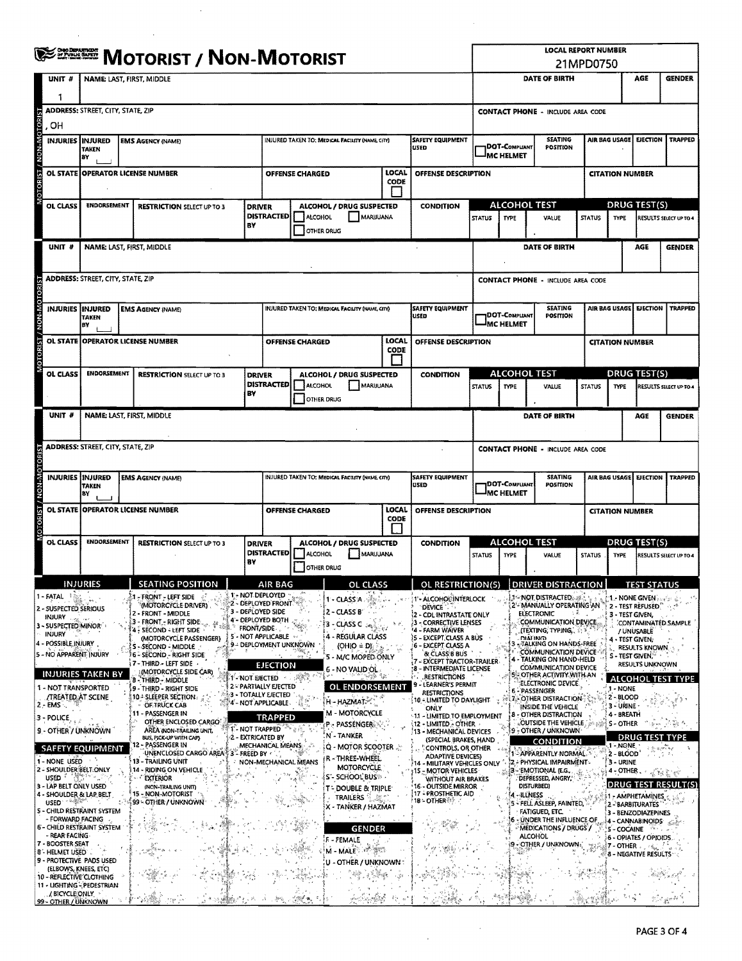| <b>WE DESCRIPT / NON-MOTORIST</b> |                                                                                                                                                                                                                                                                                                                                                                                                                                                                                      |                                                                                                                                                   |    |                                                                                                                                                                                                                                                                                                                                                                                                                                                                                                                                                                                                                                                                                 |                     |                                                                                                                                                                                                                                                                                                          |                                    |                                                                                                                                                                                                                                                                                                                                                                                                                                                                                                                 |                      |                     |                                                                                                                                                                                                                                                                                                                                                                                                                                                                                                                                                                                                                                                             |                                                                               |                                            | <b>LOCAL REPORT NUMBER</b><br>21MPD0750                                                                                                                                                                                                                                                                                                                                                                                                                                                                                                                                                                                                                                                                                                                                                            |                        |                                    |                                                                                                                                                                                                                                  |                                                                                                                                                                                                                                        |                                                                                                      |  |  |  |
|-----------------------------------|--------------------------------------------------------------------------------------------------------------------------------------------------------------------------------------------------------------------------------------------------------------------------------------------------------------------------------------------------------------------------------------------------------------------------------------------------------------------------------------|---------------------------------------------------------------------------------------------------------------------------------------------------|----|---------------------------------------------------------------------------------------------------------------------------------------------------------------------------------------------------------------------------------------------------------------------------------------------------------------------------------------------------------------------------------------------------------------------------------------------------------------------------------------------------------------------------------------------------------------------------------------------------------------------------------------------------------------------------------|---------------------|----------------------------------------------------------------------------------------------------------------------------------------------------------------------------------------------------------------------------------------------------------------------------------------------------------|------------------------------------|-----------------------------------------------------------------------------------------------------------------------------------------------------------------------------------------------------------------------------------------------------------------------------------------------------------------------------------------------------------------------------------------------------------------------------------------------------------------------------------------------------------------|----------------------|---------------------|-------------------------------------------------------------------------------------------------------------------------------------------------------------------------------------------------------------------------------------------------------------------------------------------------------------------------------------------------------------------------------------------------------------------------------------------------------------------------------------------------------------------------------------------------------------------------------------------------------------------------------------------------------------|-------------------------------------------------------------------------------|--------------------------------------------|----------------------------------------------------------------------------------------------------------------------------------------------------------------------------------------------------------------------------------------------------------------------------------------------------------------------------------------------------------------------------------------------------------------------------------------------------------------------------------------------------------------------------------------------------------------------------------------------------------------------------------------------------------------------------------------------------------------------------------------------------------------------------------------------------|------------------------|------------------------------------|----------------------------------------------------------------------------------------------------------------------------------------------------------------------------------------------------------------------------------|----------------------------------------------------------------------------------------------------------------------------------------------------------------------------------------------------------------------------------------|------------------------------------------------------------------------------------------------------|--|--|--|
|                                   | UNIT #<br>٦                                                                                                                                                                                                                                                                                                                                                                                                                                                                          |                                                                                                                                                   |    | <b>NAME: LAST, FIRST, MIDDLE</b>                                                                                                                                                                                                                                                                                                                                                                                                                                                                                                                                                                                                                                                |                     |                                                                                                                                                                                                                                                                                                          |                                    |                                                                                                                                                                                                                                                                                                                                                                                                                                                                                                                 |                      |                     |                                                                                                                                                                                                                                                                                                                                                                                                                                                                                                                                                                                                                                                             |                                                                               |                                            | <b>DATE OF BIRTH</b>                                                                                                                                                                                                                                                                                                                                                                                                                                                                                                                                                                                                                                                                                                                                                                               |                        |                                    |                                                                                                                                                                                                                                  | AGE                                                                                                                                                                                                                                    | <b>GENDER</b>                                                                                        |  |  |  |
|                                   | .OH                                                                                                                                                                                                                                                                                                                                                                                                                                                                                  | <b>ADDRESS: STREET, CITY, STATE, ZIP</b>                                                                                                          |    |                                                                                                                                                                                                                                                                                                                                                                                                                                                                                                                                                                                                                                                                                 |                     |                                                                                                                                                                                                                                                                                                          |                                    |                                                                                                                                                                                                                                                                                                                                                                                                                                                                                                                 |                      |                     |                                                                                                                                                                                                                                                                                                                                                                                                                                                                                                                                                                                                                                                             |                                                                               |                                            | <b>CONTACT PHONE - INCLUDE AREA CODE</b>                                                                                                                                                                                                                                                                                                                                                                                                                                                                                                                                                                                                                                                                                                                                                           |                        |                                    |                                                                                                                                                                                                                                  |                                                                                                                                                                                                                                        |                                                                                                      |  |  |  |
|                                   | INJURIES INJURED                                                                                                                                                                                                                                                                                                                                                                                                                                                                     | TAKEN<br>B٧                                                                                                                                       |    | <b>EMS AGENCY (NAME)</b>                                                                                                                                                                                                                                                                                                                                                                                                                                                                                                                                                                                                                                                        |                     |                                                                                                                                                                                                                                                                                                          |                                    | INJURED TAKEN TO: MEDICAL FACILITY (NAME, CITY)                                                                                                                                                                                                                                                                                                                                                                                                                                                                 |                      | luseo               | <b>SAFETY EQUIPMENT</b>                                                                                                                                                                                                                                                                                                                                                                                                                                                                                                                                                                                                                                     |                                                                               | DOT-COMPLIANT<br><b>MC HELMET</b>          | <b>SEATING</b><br><b>POSITION</b>                                                                                                                                                                                                                                                                                                                                                                                                                                                                                                                                                                                                                                                                                                                                                                  |                        | AIR BAG USAGE                      |                                                                                                                                                                                                                                  | <b>EJECTION</b>                                                                                                                                                                                                                        | <b>TRAPPED</b>                                                                                       |  |  |  |
|                                   |                                                                                                                                                                                                                                                                                                                                                                                                                                                                                      |                                                                                                                                                   |    | OL STATE OPERATOR LICENSE NUMBER                                                                                                                                                                                                                                                                                                                                                                                                                                                                                                                                                                                                                                                |                     | OFFENSE CHARGED                                                                                                                                                                                                                                                                                          |                                    | <b>LOCAL</b><br><b>CODE</b>                                                                                                                                                                                                                                                                                                                                                                                                                                                                                     |                      | OFFENSE DESCRIPTION |                                                                                                                                                                                                                                                                                                                                                                                                                                                                                                                                                                                                                                                             |                                                                               |                                            |                                                                                                                                                                                                                                                                                                                                                                                                                                                                                                                                                                                                                                                                                                                                                                                                    | <b>CITATION NUMBER</b> |                                    |                                                                                                                                                                                                                                  |                                                                                                                                                                                                                                        |                                                                                                      |  |  |  |
|                                   | OL CLASS                                                                                                                                                                                                                                                                                                                                                                                                                                                                             | ENDORSEMENT                                                                                                                                       |    | <b>RESTRICTION SELECT UP TO 3</b>                                                                                                                                                                                                                                                                                                                                                                                                                                                                                                                                                                                                                                               | <b>DRIVER</b>       |                                                                                                                                                                                                                                                                                                          |                                    | ALCOHOL / DRUG SUSPECTED                                                                                                                                                                                                                                                                                                                                                                                                                                                                                        |                      |                     | <b>CONDITION</b>                                                                                                                                                                                                                                                                                                                                                                                                                                                                                                                                                                                                                                            |                                                                               |                                            | ALCOHOL TEST                                                                                                                                                                                                                                                                                                                                                                                                                                                                                                                                                                                                                                                                                                                                                                                       |                        |                                    | DRUG TEST(S)                                                                                                                                                                                                                     |                                                                                                                                                                                                                                        |                                                                                                      |  |  |  |
|                                   |                                                                                                                                                                                                                                                                                                                                                                                                                                                                                      |                                                                                                                                                   | B۲ |                                                                                                                                                                                                                                                                                                                                                                                                                                                                                                                                                                                                                                                                                 |                     | <b>DISTRACTED</b>                                                                                                                                                                                                                                                                                        | ALCOHOL<br>OTHER DRUG              | MARJJUANA                                                                                                                                                                                                                                                                                                                                                                                                                                                                                                       |                      |                     |                                                                                                                                                                                                                                                                                                                                                                                                                                                                                                                                                                                                                                                             | <b>STATUS</b>                                                                 | TYPE                                       | VALUE                                                                                                                                                                                                                                                                                                                                                                                                                                                                                                                                                                                                                                                                                                                                                                                              |                        | <b>STATUS</b>                      | TYPE                                                                                                                                                                                                                             |                                                                                                                                                                                                                                        | RESULTS SELECT UP TO 4                                                                               |  |  |  |
|                                   | UNIT #                                                                                                                                                                                                                                                                                                                                                                                                                                                                               |                                                                                                                                                   |    | NAME: LAST, FIRST, MIDDLE                                                                                                                                                                                                                                                                                                                                                                                                                                                                                                                                                                                                                                                       |                     |                                                                                                                                                                                                                                                                                                          |                                    |                                                                                                                                                                                                                                                                                                                                                                                                                                                                                                                 |                      |                     |                                                                                                                                                                                                                                                                                                                                                                                                                                                                                                                                                                                                                                                             | <b>DATE OF BIRTH</b><br>AGE<br><b>GENDER</b>                                  |                                            |                                                                                                                                                                                                                                                                                                                                                                                                                                                                                                                                                                                                                                                                                                                                                                                                    |                        |                                    |                                                                                                                                                                                                                                  |                                                                                                                                                                                                                                        |                                                                                                      |  |  |  |
|                                   | <b>ADDRESS:</b> STREET, CITY, STATE, ZIP<br><b>CONTACT PHONE - INCLUDE AREA CODE</b>                                                                                                                                                                                                                                                                                                                                                                                                 |                                                                                                                                                   |    |                                                                                                                                                                                                                                                                                                                                                                                                                                                                                                                                                                                                                                                                                 |                     |                                                                                                                                                                                                                                                                                                          |                                    |                                                                                                                                                                                                                                                                                                                                                                                                                                                                                                                 |                      |                     |                                                                                                                                                                                                                                                                                                                                                                                                                                                                                                                                                                                                                                                             |                                                                               |                                            |                                                                                                                                                                                                                                                                                                                                                                                                                                                                                                                                                                                                                                                                                                                                                                                                    |                        |                                    |                                                                                                                                                                                                                                  |                                                                                                                                                                                                                                        |                                                                                                      |  |  |  |
|                                   | <b>INJURIES INJURED</b>                                                                                                                                                                                                                                                                                                                                                                                                                                                              | TAKEN<br>ΒY                                                                                                                                       |    | <b>EMS AGENCY (NAME)</b>                                                                                                                                                                                                                                                                                                                                                                                                                                                                                                                                                                                                                                                        |                     |                                                                                                                                                                                                                                                                                                          |                                    | INJURED TAKEN TO: MEDICAL FACILITY (NAME, CITY)                                                                                                                                                                                                                                                                                                                                                                                                                                                                 |                      | <b>USED</b>         | <b>SAFETY EQUIPMENT</b>                                                                                                                                                                                                                                                                                                                                                                                                                                                                                                                                                                                                                                     | <b>SEATING</b><br><b>DOT-COMPLIANT</b><br><b>POSITION</b><br><b>MC HELMET</b> |                                            |                                                                                                                                                                                                                                                                                                                                                                                                                                                                                                                                                                                                                                                                                                                                                                                                    | AIR BAG USAGE          |                                    | <b>EJECTION</b>                                                                                                                                                                                                                  | <b>TRAPPED</b>                                                                                                                                                                                                                         |                                                                                                      |  |  |  |
|                                   |                                                                                                                                                                                                                                                                                                                                                                                                                                                                                      |                                                                                                                                                   |    | OL STATE OPERATOR LICENSE NUMBER                                                                                                                                                                                                                                                                                                                                                                                                                                                                                                                                                                                                                                                |                     |                                                                                                                                                                                                                                                                                                          | <b>OFFENSE CHARGED</b>             |                                                                                                                                                                                                                                                                                                                                                                                                                                                                                                                 | LOCAL<br><b>CODE</b> |                     | OFFENSE DESCRIPTION                                                                                                                                                                                                                                                                                                                                                                                                                                                                                                                                                                                                                                         |                                                                               |                                            |                                                                                                                                                                                                                                                                                                                                                                                                                                                                                                                                                                                                                                                                                                                                                                                                    |                        |                                    | <b>CITATION NUMBER</b>                                                                                                                                                                                                           |                                                                                                                                                                                                                                        |                                                                                                      |  |  |  |
|                                   | OL CLASS                                                                                                                                                                                                                                                                                                                                                                                                                                                                             | <b>ENDORSEMENT</b>                                                                                                                                |    | <b>RESTRICTION SELECT UP TO 3</b>                                                                                                                                                                                                                                                                                                                                                                                                                                                                                                                                                                                                                                               | <b>DRIVER</b>       |                                                                                                                                                                                                                                                                                                          |                                    | ALCOHOL / DRUG SUSPECTED                                                                                                                                                                                                                                                                                                                                                                                                                                                                                        |                      |                     | <b>CONDITION</b>                                                                                                                                                                                                                                                                                                                                                                                                                                                                                                                                                                                                                                            |                                                                               |                                            | <b>ALCOHOL TEST</b>                                                                                                                                                                                                                                                                                                                                                                                                                                                                                                                                                                                                                                                                                                                                                                                |                        |                                    |                                                                                                                                                                                                                                  | DRUG TEST(S)                                                                                                                                                                                                                           |                                                                                                      |  |  |  |
|                                   |                                                                                                                                                                                                                                                                                                                                                                                                                                                                                      | <b>DISTRACTED</b><br>BY                                                                                                                           |    |                                                                                                                                                                                                                                                                                                                                                                                                                                                                                                                                                                                                                                                                                 |                     |                                                                                                                                                                                                                                                                                                          | <b>ALCOHOL</b><br>OTHER DRUG       | MARIJUANA                                                                                                                                                                                                                                                                                                                                                                                                                                                                                                       |                      |                     |                                                                                                                                                                                                                                                                                                                                                                                                                                                                                                                                                                                                                                                             | <b>STATUS</b>                                                                 | <b>TYPE</b><br>VALUE                       |                                                                                                                                                                                                                                                                                                                                                                                                                                                                                                                                                                                                                                                                                                                                                                                                    |                        | <b>STATUS</b>                      | <b>TYPE</b>                                                                                                                                                                                                                      |                                                                                                                                                                                                                                        | RESULTS SELECT UP TO 4                                                                               |  |  |  |
|                                   | UNIT #<br>NAME: LAST, FIRST, MIDDLE                                                                                                                                                                                                                                                                                                                                                                                                                                                  |                                                                                                                                                   |    |                                                                                                                                                                                                                                                                                                                                                                                                                                                                                                                                                                                                                                                                                 |                     |                                                                                                                                                                                                                                                                                                          |                                    |                                                                                                                                                                                                                                                                                                                                                                                                                                                                                                                 |                      |                     |                                                                                                                                                                                                                                                                                                                                                                                                                                                                                                                                                                                                                                                             |                                                                               |                                            | <b>DATE OF BIRTH</b>                                                                                                                                                                                                                                                                                                                                                                                                                                                                                                                                                                                                                                                                                                                                                                               |                        |                                    |                                                                                                                                                                                                                                  | AGE                                                                                                                                                                                                                                    | <b>GENDER</b>                                                                                        |  |  |  |
|                                   |                                                                                                                                                                                                                                                                                                                                                                                                                                                                                      | <b>ADDRESS: STREET, CITY, STATE, ZIP</b>                                                                                                          |    |                                                                                                                                                                                                                                                                                                                                                                                                                                                                                                                                                                                                                                                                                 |                     |                                                                                                                                                                                                                                                                                                          |                                    |                                                                                                                                                                                                                                                                                                                                                                                                                                                                                                                 |                      |                     |                                                                                                                                                                                                                                                                                                                                                                                                                                                                                                                                                                                                                                                             |                                                                               |                                            | <b>CONTACT PHONE - INCLUDE AREA CODE</b>                                                                                                                                                                                                                                                                                                                                                                                                                                                                                                                                                                                                                                                                                                                                                           |                        |                                    |                                                                                                                                                                                                                                  |                                                                                                                                                                                                                                        |                                                                                                      |  |  |  |
| <b>A-ROM</b>                      |                                                                                                                                                                                                                                                                                                                                                                                                                                                                                      | <b>INJURIES INJURED</b><br>INJURED TAKEN TO: MEDICAL FACILITY (NAME CITY)<br><b>EMS AGENCY (NAME)</b><br><b>TAKEN</b><br>lεγ                      |    |                                                                                                                                                                                                                                                                                                                                                                                                                                                                                                                                                                                                                                                                                 |                     |                                                                                                                                                                                                                                                                                                          |                                    |                                                                                                                                                                                                                                                                                                                                                                                                                                                                                                                 |                      | USED                | <b>SAFETY EQUIPMENT</b>                                                                                                                                                                                                                                                                                                                                                                                                                                                                                                                                                                                                                                     |                                                                               | <b>IDOT-COMPLIANT</b><br><b>IMC HELMET</b> | <b>SEATING</b><br>POSITION                                                                                                                                                                                                                                                                                                                                                                                                                                                                                                                                                                                                                                                                                                                                                                         |                        |                                    | AIR BAG USAGE                                                                                                                                                                                                                    | <b>EJECTION</b>                                                                                                                                                                                                                        | <b>TRAPPED</b>                                                                                       |  |  |  |
|                                   |                                                                                                                                                                                                                                                                                                                                                                                                                                                                                      |                                                                                                                                                   |    | OL STATE OPPERATOR LICENSE NUMBER                                                                                                                                                                                                                                                                                                                                                                                                                                                                                                                                                                                                                                               |                     |                                                                                                                                                                                                                                                                                                          | <b>OFFENSE CHARGED</b>             |                                                                                                                                                                                                                                                                                                                                                                                                                                                                                                                 | LOCAL<br>CODE        |                     | OFFENSE DESCRIPTION                                                                                                                                                                                                                                                                                                                                                                                                                                                                                                                                                                                                                                         | <b>CITATION NUMBER</b>                                                        |                                            |                                                                                                                                                                                                                                                                                                                                                                                                                                                                                                                                                                                                                                                                                                                                                                                                    |                        |                                    |                                                                                                                                                                                                                                  |                                                                                                                                                                                                                                        |                                                                                                      |  |  |  |
|                                   | OL CLASS                                                                                                                                                                                                                                                                                                                                                                                                                                                                             | <b>ENDORSEMENT</b><br><b>RESTRICTION SELECT UP TO 3</b>                                                                                           |    |                                                                                                                                                                                                                                                                                                                                                                                                                                                                                                                                                                                                                                                                                 | <b>DRIVER</b><br>BY | <b>DISTRACTED</b>                                                                                                                                                                                                                                                                                        | <b>ALCOHOL</b>                     | ALCOHOL / DRUG SUSPECTED<br>MARIJUANA                                                                                                                                                                                                                                                                                                                                                                                                                                                                           |                      |                     | <b>CONDITION</b>                                                                                                                                                                                                                                                                                                                                                                                                                                                                                                                                                                                                                                            | <b>STATUS</b>                                                                 | <b>TYPE</b>                                | ALCOHOL TEST<br>VALUE                                                                                                                                                                                                                                                                                                                                                                                                                                                                                                                                                                                                                                                                                                                                                                              |                        | <b>STATUS</b>                      | <b>TYPE</b>                                                                                                                                                                                                                      | DRUG TEST(S)                                                                                                                                                                                                                           | RESULTS SELECT UP TO 4                                                                               |  |  |  |
|                                   |                                                                                                                                                                                                                                                                                                                                                                                                                                                                                      | <b>INJURIES</b>                                                                                                                                   |    | <b>SEATING POSITION</b>                                                                                                                                                                                                                                                                                                                                                                                                                                                                                                                                                                                                                                                         |                     | AIR BAG                                                                                                                                                                                                                                                                                                  | OTHER DRUG                         | OL CLASS                                                                                                                                                                                                                                                                                                                                                                                                                                                                                                        |                      |                     | OL RESTRICTION(S) DRIVER DISTRACTION                                                                                                                                                                                                                                                                                                                                                                                                                                                                                                                                                                                                                        |                                                                               |                                            |                                                                                                                                                                                                                                                                                                                                                                                                                                                                                                                                                                                                                                                                                                                                                                                                    |                        |                                    |                                                                                                                                                                                                                                  | <b>TEST STATUS</b>                                                                                                                                                                                                                     |                                                                                                      |  |  |  |
|                                   | - FATAL<br>2 - SUSPECTED SERIOUS<br><b>INJURY</b><br>3 - SUSPECTED MINOR<br><b>INJURY</b><br>4 - POSSIBLE INJURY<br>5 - NO APPARENT INJURY<br>- NOT TRANSPORTED<br>/TREATED: AT SCENE<br>  2 - EMS -<br>  3 - POLICE <br>9 - OTHER / UNKNOWN<br>1 - NONE USED<br>2 - SHOULDER BELT ONLY<br><b>USED</b><br>3 - LAP BELT ONLY USED<br>4 - SHOULDER & LAP BELT<br>USED <sup>-</sup><br>- FORWARD FACING<br>- REAR FACING<br>7 - BOOSTER SEAT<br>8 - HELMET USED<br>(ELBOWS, KNEES, ETC) | <b>INJURIES TAKEN BY</b><br><b>SAFETY EQUIPMENT</b><br>S - CHILD RESTRAINT SYSTEM<br><b>6- CHILD RESTRAINT SYSTEM</b><br>9 - PROTECTIVE PADS USED |    | 1 - FRONT - LEFT SIDE<br>(MOTORCYCLE DRIVER).<br>2 - FRONT - MIDDLE<br>- FRONT - RIGHT SIDE:<br><b>SECOND - LEFT SIDE</b><br>(MOTORCYCLE PASSENGER)<br>S - SECOND - MIDDLE<br>G - SECOND - RIGHT SIDE<br>7 - THIRD - LEFT SIDE<br>(MOTORCYCLE SIDE CAR)<br>1 - NOT EJECTED<br><b>B</b> THIRD - MIDDLE<br>9 - THIRD - RIGHT SIDE<br>10 - SLEEPER SECTION ::<br>OF TRUCK CAB<br>11 - PASSENGER IN<br>OTHER ENCLOSED CARGO<br>AREA (NON-TRAILING UNIT,<br>BUS, PICK-UP WITH CAPY<br>12 - PASSENGER IN<br>UNENCLOSED CARGO AREA 3 - FREED BY<br>13 - TRAILING UNIT<br>14 - RIDING ON VEHICLE<br><b>EXTERIOR</b><br>(NON-TRAILING UNIT)<br>15 - NON-MOTORIST<br>99 - OTHER / UNKNOWN |                     | 1 - NOT DEPLOYED<br>2 - DEPLOYED FRONT<br>3 - DEPLOYED SIDE<br>3 - DEPLOYED BOTH<br>5 - NOT APPLICABLE<br>9 - DEPLOYMENT UNKNOWN<br><b>EJECTION</b><br>2 - PARTIALLY EJECTED<br>3 - TOTALLY EJECTED<br>## - NOT APPLICABLE<br><b>TRAPPED</b><br>1'- NOT TRAPPED<br>2 - EXTRICATED BY<br>MECHANICAL MEANS | <b>AND</b><br>NON-MECHANICAL MEANS | 1 - CLASS A.<br>2 - CLASS B<br>3 - CLASS C<br>4 - REGULAR CLASS<br>$(OHIO = D)$<br>5 - M/C MOPED ONLY<br>6 - NO VALID OL<br><b>OL ENDORSEMENT</b><br>H - HAZMAT <sup>50</sup><br><b>M - MOTORCYCLE</b><br><b>P - PASSENGER: WA</b><br>N - TANKER<br>Q - MOTOR SCOOTER<br>R - THREE-WHEEL<br><b>MOTORCYCLE</b><br>S'- SCHOOL BUS<br>T - DOUBLE & TRIPLE <sup>.</sup><br>TRAILERS<br>X - TANKER / HAZMAT<br>- 19<br>$\mu$ and $\lambda$<br>GENDER<br>F - FEMALE<br>i et greg<br>M - MALE<br>U - OTHER / UNKNOWN : |                      |                     | 1'- ALCOHOL INTERLOCK<br>DEVICE 1<br>{2 - CDL INTRASTATE ONLY<br>3 - CORRECTIVE LENSES<br>4 - FARM WAIVER<br>)5 - EXCEPT CLASS A BUS<br>6 - EXCEPT CLASS A<br>& CLASS B BUS<br>- EXCEPT TRACTOR-TRAILER<br>8 - INTERMEDIATE LICENSE<br><b>RESTRICTIONS</b><br>- LEARNER'S PERMIT<br><b>RESTRICTIONS</b><br>10 - LIMITED TO DAYLIGHT<br>ONLY<br>11 - LIMITED TO EMPLOYMENT<br><b>12 - LIMITED - OTHER</b><br>13 - MECHANICAL DEVICES<br>(SPECIAL BRAKES, HAND<br>CONTROLS, OR OTHER<br><b>ADAPTIVE DEVICES)</b><br>14 - MILITARY VEHICLES ONLY<br>15 - MOTOR VEHICLES<br>WITHOUT AIR BRAKES<br>16 - OUTSIDE MIRROR<br>17 - PROSTHETIC AID<br><b>1B-OTHER</b> |                                                                               |                                            | J - NOT DISTRACTED<br>2'- MANUALLY OPERATING AN<br><b>ELECTRONIC</b><br>COMMUNICATION DEVICE<br>(Texting, Typing, .);<br><b>DIATING</b><br><b>ATALKING ON HANDS-FREE</b><br>COMMUNICATION DEVICE<br>- TALKING ON HAND-HELD<br><b>COMMUNICATION DEVICE</b><br>5 - OTHER ACTIVITY WITH AN<br>ELECTRONIC DEVICE.<br><b>6 - PASSENGER</b><br><b>FOLT - OTHER DISTRACTION-</b><br>INSIDE THE VEHICLE<br>8 - OTHER DISTRACTION<br>. OUTSIDE THE VEHICLE.<br>9 - OTHER / UNKNOWN<br><b>CONDITION</b><br>1 - APPARENTLY NORMAL<br><b>IZ - PHYSICAL IMPAIRMENT</b><br>3 - EMOTIONAL (E.G.,<br>DEPRESSED, ANGRY,<br>DISTURBED)<br>(4 - ILLNESS<br>5 - FELL ASLEEP, FAINTED,<br><b>FATIGUED, ETC.</b><br>6 - UNDER THE INFLUENCE OF<br><b>MEDICATIONS / DRUGS /</b><br><b>ALCOHOL</b><br>19 - OTHER / UNKNOWN |                        | $\mathbb{R}^3 \oplus \mathbb{R}^3$ | 3 - TEST GIVEN,<br>4 - TEST GIVEN;<br>S - TEST GIVEN,"<br>1 - NONE<br>$2 - BLOOD$<br>3 - URINE<br>4 - BREATH<br>S - OTHER<br>DRUG<br>1 - NONE<br>2 - BLOOD'<br>3 - URINE<br>$4 -$ OTHER.<br>5 - COCAINE<br>∄7 - OTHER प्राप्ट की | <b>1. NONE GIVEN</b><br>2 - TEST REFUSED.<br>/ UNUSABLE<br>RESULTS KNOWN.<br>RESULTS UNKNOWN<br>\$1 = AMPHETAMINES ::<br>2 - BARBITURATES<br>3 - BENZODIAZEPINES<br>4 - CANNABINOIDS<br>6 - OPIATES / OPIOIDS.<br>8 - NEGATIVE RESULTS | ं है<br>CONTAMINATED SAMPLE<br><b>ALCOHOL TEST TYPE</b><br>TEST TYPE<br>DRUG TEST RESULT(S)<br>Sint? |  |  |  |
|                                   | 10 - REFLECTIVE CLOTHING<br>/BICYCLE ONLY<br>99 - OTHER / UNKNOWN                                                                                                                                                                                                                                                                                                                                                                                                                    | 11 - LIGHTING - PEDESTRIAN                                                                                                                        |    |                                                                                                                                                                                                                                                                                                                                                                                                                                                                                                                                                                                                                                                                                 |                     |                                                                                                                                                                                                                                                                                                          |                                    |                                                                                                                                                                                                                                                                                                                                                                                                                                                                                                                 |                      |                     |                                                                                                                                                                                                                                                                                                                                                                                                                                                                                                                                                                                                                                                             |                                                                               |                                            |                                                                                                                                                                                                                                                                                                                                                                                                                                                                                                                                                                                                                                                                                                                                                                                                    |                        |                                    |                                                                                                                                                                                                                                  |                                                                                                                                                                                                                                        |                                                                                                      |  |  |  |

 $\sim$   $\lambda$ 

 $\mathcal{L}^{\text{max}}_{\text{max}}$  and  $\mathcal{L}^{\text{max}}_{\text{max}}$ 

 $\bar{\mathcal{A}}$ 

 $\sim 10$ 

 $\hat{\mathcal{A}}$